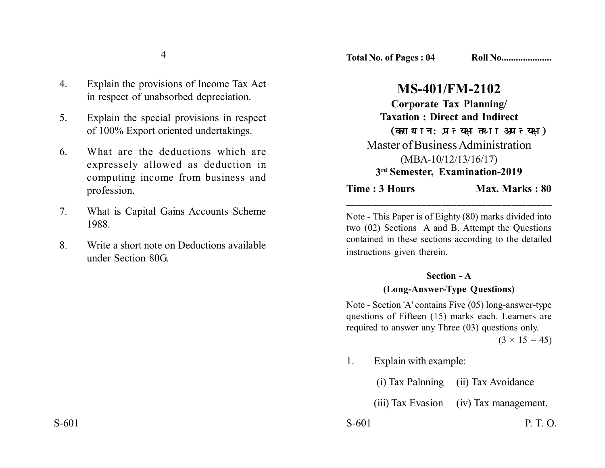- 4. Explain the provisions of Income Tax Act in respect of unabsorbed depreciation.
- 5. Explain the special provisions in respect of 100% Export oriented undertakings.
- 6. What are the deductions which are expressely allowed as deduction in computing income from business and profession.
- 7. What is Capital Gains Accounts Scheme 1988.
- 8. Write a short note on Deductions available under Section 80G.

## **MS-401/FM-2102**

**Corporate Tax Planning/ Taxation : Direct and Indirect** (कराधान:प्रत्यक्ष तथा अप्रत्यक्ष) Master of Business Administration (MBA-10/12/13/16/17) **3rd Semester, Examination-2019**

**Time : 3 Hours Max. Marks : 80** 

Note - This Paper is of Eighty (80) marks divided into two (02) Sections A and B. Attempt the Questions contained in these sections according to the detailed instructions given therein.

\_\_\_\_\_\_\_\_\_\_\_\_\_\_\_\_\_\_\_\_\_\_\_\_\_\_\_\_\_\_\_\_\_\_\_\_\_\_\_\_\_

## **Section - A (Long-Answer-Type Questions)**

Note - Section 'A' contains Five (05) long-answer-type questions of Fifteen (15) marks each. Learners are required to answer any Three (03) questions only.

 $(3 \times 15 = 45)$ 

1. Explain with example:

| (i) Tax Palnning | (ii) Tax Avoidance |
|------------------|--------------------|
|------------------|--------------------|

(iii) Tax Evasion (iv) Tax management.

S-601 P. T. O.